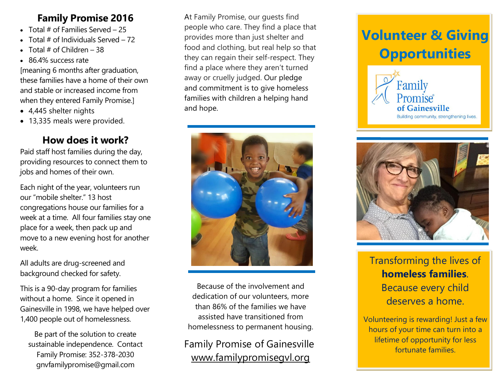#### **Family Promise 2016**

- Total  $#$  of Families Served 25
- $\bullet$  Total # of Individuals Served 72
- $\bullet$  Total # of Children 38
- 86.4% success rate

[meaning 6 months after graduation, these families have a home of their own and stable or increased income from when they entered Family Promise.]

- 4,445 shelter nights
- 13,335 meals were provided.

#### **How does it work?**

Paid staff host families during the day, providing resources to connect them to jobs and homes of their own.

Each night of the year, volunteers run our "mobile shelter." 13 host congregations house our families for a week at a time. All four families stay one place for a week, then pack up and move to a new evening host for another week.

All adults are drug-screened and background checked for safety.

This is a 90-day program for families without a home. Since it opened in Gainesville in 1998, we have helped over 1,400 people out of homelessness.

Be part of the solution to create sustainable independence. Contact Family Promise: 352-378-2030 gnvfamilypromise@gmail.com

At Family Promise, our guests find people who care. They find a place that provides more than just shelter and food and clothing, but real help so that they can regain their self-respect. They find a place where they aren't turned away or cruelly judged. Our pledge and commitment is to give homeless families with children a helping hand and hope.



Because of the involvement and dedication of our volunteers, more than 86% of the families we have assisted have transitioned from homelessness to permanent housing.

Family Promise of Gainesville [www.familypromisegvl.org](http://www.familypromisegvl.org/)

# **Volunteer & Giving Opportunities**





Transforming the lives of **homeless families**. Because every child deserves a home.

Volunteering is rewarding! Just a few hours of your time can turn into a lifetime of opportunity for less fortunate families.